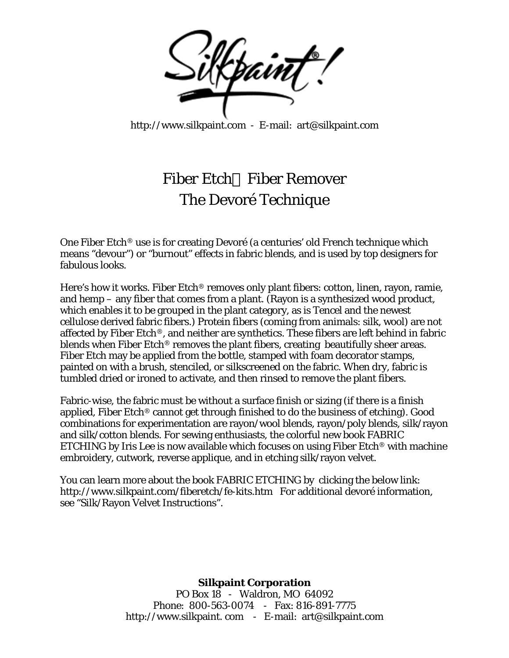

<http://www.silkpaint.com>- E-mail: art@silkpaint.com

## Fiber Etch Fiber Remover The Devoré Technique

One Fiber Etch® use is for creating Devoré (a centuries' old French technique which means "devour") or "burnout" effects in fabric blends, and is used by top designers for fabulous looks.

Here's how it works. Fiber Etch® removes only plant fibers: cotton, linen, rayon, ramie, and hemp – any fiber that comes from a plant. (Rayon is a synthesized wood product, which enables it to be grouped in the plant category, as is Tencel and the newest cellulose derived fabric fibers.) Protein fibers (coming from animals: silk, wool) are not affected by Fiber Etch®, and neither are synthetics. These fibers are left behind in fabric blends when Fiber Etch® removes the plant fibers, creating beautifully sheer areas. Fiber Etch may be applied from the bottle, stamped with foam decorator stamps, painted on with a brush, stenciled, or silkscreened on the fabric. When dry, fabric is tumbled dried or ironed to activate, and then rinsed to remove the plant fibers.

Fabric-wise, the fabric must be without a surface finish or sizing (if there is a finish applied, Fiber Etch® cannot get through finished to do the business of etching). Good combinations for experimentation are rayon/wool blends, rayon/poly blends, silk/rayon and silk/cotton blends. For sewing enthusiasts, the colorful new book FABRIC ETCHING by Iris Lee is now available which focuses on using Fiber Etch® with machine embroidery, cutwork, reverse applique, and in etching silk/rayon velvet.

You can learn more about the book FABRIC ETCHING by clicking the below link: <http://www.silkpaint.com/fiberetch/fe-kits.htm>For additional devoré information, see "Silk/Rayon Velvet Instructions".

## **Silkpaint Corporation**

PO Box 18 - Waldron, MO 64092 Phone: 800-563-0074 - Fax: 816-891-7775 [http://www.silkpaint.](http://www.silkpaint) com - E-mail: art@silkpaint.com